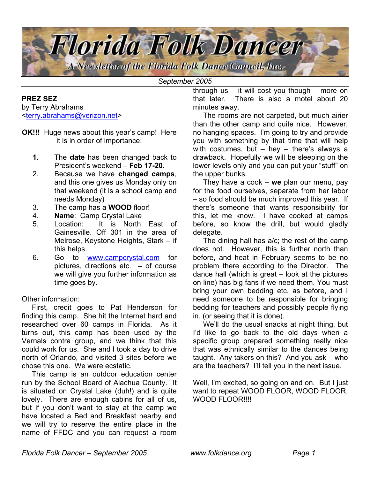

*September 2005*

#### **PREZ SEZ**

by Terry Abrahams <terry.abrahams@verizon.net>

- **OK!!!** Huge news about this year's camp! Here it is in order of importance:
	- **1.** The **date** has been changed back to President's weekend – **Feb 17-20.**
	- 2. Because we have **changed camps**, and this one gives us Monday only on that weekend (it is a school camp and needs Monday)
	- 3. The camp has a **WOOD** floor!
	- 4. **Name**: Camp Crystal Lake
	- 5. Location: It is North East of Gainesville. Off 301 in the area of Melrose, Keystone Heights, Stark – if this helps.
	- 6. Go to [www.campcrystal.com](http://www.campcrystal.com/) for pictures, directions etc.  $-$  of course we will give you further information as time goes by.

Other information:

First, credit goes to Pat Henderson for finding this camp. She hit the Internet hard and researched over 60 camps in Florida. As it turns out, this camp has been used by the Vernals contra group, and we think that this could work for us. She and I took a day to drive north of Orlando, and visited 3 sites before we chose this one. We were ecstatic.

 This camp is an outdoor education center run by the School Board of Alachua County. It is situated on Crystal Lake (duh!) and is quite lovely. There are enough cabins for all of us, but if you don't want to stay at the camp we have located a Bed and Breakfast nearby and we will try to reserve the entire place in the name of FFDC and you can request a room

through us – it will cost you though – more on that later. There is also a motel about 20 minutes away.

The rooms are not carpeted, but much airier than the other camp and quite nice. However, no hanging spaces. I'm going to try and provide you with something by that time that will help with costumes, but  $-$  hey  $-$  there's always a drawback. Hopefully we will be sleeping on the lower levels only and you can put your "stuff" on the upper bunks.

 They have a cook – **we** plan our menu, pay for the food ourselves, separate from her labor – so food should be much improved this year. If there's someone that wants responsibility for this, let me know. I have cooked at camps before, so know the drill, but would gladly delegate.

 The dining hall has a/c; the rest of the camp does not. However, this is further north than before, and heat in February seems to be no problem there according to the Director. The dance hall (which is great – look at the pictures on line) has big fans if we need them. You must bring your own bedding etc. as before, and I need someone to be responsible for bringing bedding for teachers and possibly people flying in. (or seeing that it is done).

 We'll do the usual snacks at night thing, but I'd like to go back to the old days when a specific group prepared something really nice that was ethnically similar to the dances being taught. Any takers on this? And you ask – who are the teachers? I'll tell you in the next issue.

Well, I'm excited, so going on and on. But I just want to repeat WOOD FLOOR, WOOD FLOOR, WOOD FLOOR!!!!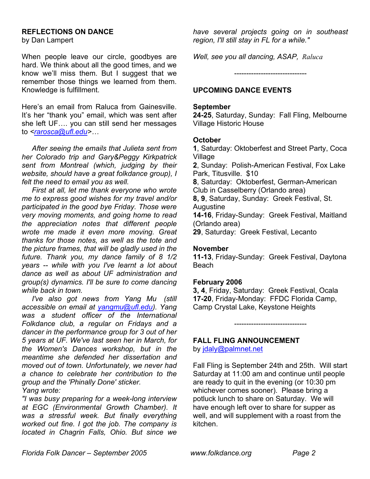#### **REFLECTIONS ON DANCE**

by Dan Lampert

When people leave our circle, goodbyes are hard. We think about all the good times, and we know we'll miss them. But I suggest that we remember those things we learned from them. Knowledge is fulfillment.

Here's an email from Raluca from Gainesville. It's her "thank you" email, which was sent after she left UF…. you can still send her messages to *<rarosca@ufl.edu>…*

*After seeing the emails that Julieta sent from her Colorado trip and Gary&Peggy Kirkpatrick sent from Montreal (which, judging by their website, should have a great folkdance group), I felt the need to email you as well.*

 *First at all, let me thank everyone who wrote me to express good wishes for my travel and/or participated in the good bye Friday. Those were very moving moments, and going home to read the appreciation notes that different people wrote me made it even more moving. Great thanks for those notes, as well as the tote and the picture frames, that will be gladly used in the future. Thank you, my dance family of 8 1/2 years -- while with you I've learnt a lot about dance as well as about UF administration and group(s) dynamics. I'll be sure to come dancing while back in town.* 

*I've also got news from Yang Mu (still accessible on email at [yangmu@ufl.edu\)](mailto:yangmu@ufl.edu). Yang was a student officer of the International Folkdance club, a regular on Fridays and a dancer in the performance group for 3 out of her 5 years at UF. We've last seen her in March, for the Women's Dances workshop, but in the meantime she defended her dissertation and moved out of town. Unfortunately, we never had a chance to celebrate her contribution to the group and the 'Phinally Done' sticker. Yang wrote:* 

*"I was busy preparing for a week-long interview at EGC (Environmental Growth Chamber). It was a stressful week. But finally everything worked out fine. I got the job. The company is located in Chagrin Falls, Ohio. But since we*  *have several projects going on in southeast region, I'll still stay in FL for a while."* 

*Well, see you all dancing, ASAP, Raluca* 

------------------------------

## **UPCOMING DANCE EVENTS**

## **September**

**24-25**, Saturday, Sunday: Fall Fling, Melbourne Village Historic House

#### **October**

**1**, Saturday: Oktoberfest and Street Party, Coca Village

**2**, Sunday: Polish-American Festival, Fox Lake Park, Titusville. \$10

**8**, Saturday: Oktoberfest, German-American

Club in Casselberry (Orlando area) **8, 9**, Saturday, Sunday: Greek Festival, St.

Augustine

**14-16**, Friday-Sunday: Greek Festival, Maitland (Orlando area)

**29**, Saturday: Greek Festival, Lecanto

#### **November**

**11-13**, Friday-Sunday: Greek Festival, Daytona Beach

#### **February 2006**

**3, 4**, Friday, Saturday: Greek Festival, Ocala **17-20**, Friday-Monday: FFDC Florida Camp, Camp Crystal Lake, Keystone Heights

------------------------------

#### **FALL FLING ANNOUNCEMENT**

by [jdaly@palmnet.net](mailto:jdaly@palmnet.net)

Fall Fling is September 24th and 25th. Will start Saturday at 11:00 am and continue until people are ready to quit in the evening (or 10:30 pm whichever comes sooner). Please bring a potluck lunch to share on Saturday. We will have enough left over to share for supper as well, and will supplement with a roast from the kitchen.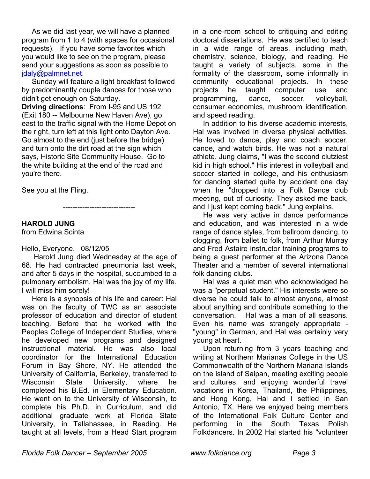As we did last year, we will have a planned program from 1 to 4 (with spaces for occasional requests). If you have some favorites which you would like to see on the program, please send your suggestions as soon as possible to [jdaly@palmnet.net.](mailto:jdaly@palmnet.net)

 Sunday will feature a light breakfast followed by predominantly couple dances for those who didn't get enough on Saturday.

**Driving directions**: From I-95 and US 192 (Exit 180 -- Melbourne New Haven Ave), go east to the traffic signal with the Home Depot on the right, turn left at this light onto Dayton Ave. Go almost to the end (just before the bridge) and turn onto the dirt road at the sign which says, Historic Site Community House. Go to the white building at the end of the road and you're there.

See you at the Fling.

------------------------------

## **HAROLD JUNG**

from Edwina Scinta

Hello, Everyone, 08/12/05

 Harold Jung died Wednesday at the age of 68. He had contracted pneumonia last week, and after 5 days in the hospital, succumbed to a pulmonary embolism. Hal was the joy of my life. I will miss him sorely!

Here is a synopsis of his life and career: Hal was on the faculty of TWC as an associate professor of education and director of student teaching. Before that he worked with the Peoples College of Independent Studies, where he developed new programs and designed instructional material. He was also local coordinator for the International Education Forum in Bay Shore, NY. He attended the University of California, Berkeley, transferred to Wisconsin State University, where he completed his B.Ed. in Elementary Education. He went on to the University of Wisconsin, to complete his Ph.D. in Curriculum, and did additional graduate work at Florida State University, in Tallahassee, in Reading. He taught at all levels, from a Head Start program

in a one-room school to critiquing and editing doctoral dissertations. He was certified to teach in a wide range of areas, including math, chemistry, science, biology, and reading. He taught a variety of subjects, some in the formality of the classroom, some informally in community educational projects. In these projects he taught computer use and programming, dance, soccer, volleyball, consumer economics, mushroom identification, and speed reading.

In addition to his diverse academic interests, Hal was involved in diverse physical activities. He loved to dance, play and coach soccer, canoe, and watch birds. He was not a natural athlete. Jung claims, "I was the second clutziest kid in high school." His interest in volleyball and soccer started in college, and his enthusiasm for dancing started quite by accident one day when he "dropped into a Folk Dance club meeting, out of curiosity. They asked me back, and I just kept coming back," Jung explains.

He was very active in dance performance and education, and was interested in a wide range of dance styles, from ballroom dancing, to clogging, from ballet to folk, from Arthur Murray and Fred Astaire instructor training programs to being a guest performer at the Arizona Dance Theater and a member of several international folk dancing clubs.

Hal was a quiet man who acknowledged he was a "perpetual student." His interests were so diverse he could talk to almost anyone, almost about anything and contribute something to the conversation. Hal was a man of all seasons. Even his name was strangely appropriate - "young" in German, and Hal was certainly very young at heart.

Upon returning from 3 years teaching and writing at Northern Marianas College in the US Commonwealth of the Northern Mariana Islands on the island of Saipan, meeting exciting people and cultures, and enjoying wonderful travel vacations in Korea, Thailand, the Philippines, and Hong Kong, Hal and I settled in San Antonio, TX. Here we enjoyed being members of the International Folk Culture Center and performing in the South Texas Polish Folkdancers. In 2002 Hal started his "volunteer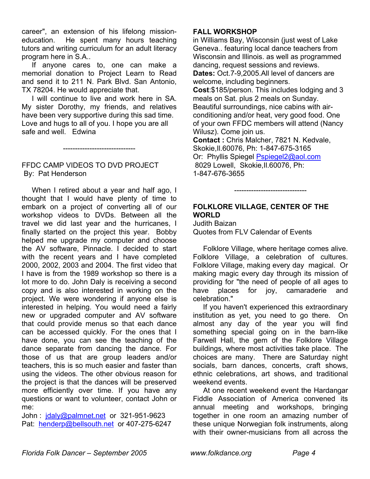career", an extension of his lifelong missioneducation. He spent many hours teaching tutors and writing curriculum for an adult literacy program here in S.A..

If anyone cares to, one can make a memorial donation to Project Learn to Read and send it to 211 N. Park Blvd. San Antonio, TX 78204. He would appreciate that.

I will continue to live and work here in SA. My sister Dorothy, my friends, and relatives have been very supportive during this sad time. Love and hugs to all of you. I hope you are all safe and well. Edwina

------------------------------

## FFDC CAMP VIDEOS TO DVD PROJECT By: Pat Henderson

When I retired about a year and half ago, I thought that I would have plenty of time to embark on a project of converting all of our workshop videos to DVDs. Between all the travel we did last year and the hurricanes, I finally started on the project this year. Bobby helped me upgrade my computer and choose the AV software, Pinnacle. I decided to start with the recent years and I have completed 2000, 2002, 2003 and 2004. The first video that I have is from the 1989 workshop so there is a lot more to do. John Daly is receiving a second copy and is also interested in working on the project. We were wondering if anyone else is interested in helping. You would need a fairly new or upgraded computer and AV software that could provide menus so that each dance can be accessed quickly. For the ones that I have done, you can see the teaching of the dance separate from dancing the dance. For those of us that are group leaders and/or teachers, this is so much easier and faster than using the videos. The other obvious reason for the project is that the dances will be preserved more efficiently over time. If you have any questions or want to volunteer, contact John or me:

John : jdaly@palmnet.net or 321-951-9623 Pat: henderp@bellsouth.net or 407-275-6247

## **FALL WORKSHOP**

in Williams Bay, Wisconsin (just west of Lake Geneva.. featuring local dance teachers from Wisconsin and Illinois. as well as programmed dancing, request sessions and reviews.

**Dates:** Oct.7-9,2005.All level of dancers are welcome, including beginners.

**Cost**:\$185/person. This includes lodging and 3 meals on Sat. plus 2 meals on Sunday. Beautiful surroundings, nice cabins with airconditioning and/or heat, very good food. One of your own FFDC members will attend (Nancy Wilusz). Come join us.

**Contact :** Chris Malcher, 7821 N. Kedvale, Skokie,Il.60076, Ph: 1-847-675-3165

Or: Phyllis Spiegel Pspiegel2@aol.com 8029 Lowell, Skokie,Il.60076, Ph: 1-847-676-3655

## **FOLKLORE VILLAGE, CENTER OF THE WORLD**

------------------------------

Judith Baizan Quotes from FLV Calendar of Events

 Folklore Village, where heritage comes alive. Folklore Village, a celebration of cultures. Folklore Village, making every day magical. Or making magic every day through its mission of providing for "the need of people of all ages to have places for joy, camaraderie and celebration."

 If you haven't experienced this extraordinary institution as yet, you need to go there. On almost any day of the year you will find something special going on in the barn-like Farwell Hall, the gem of the Folklore Village buildings, where most activities take place. The choices are many. There are Saturday night socials, barn dances, concerts, craft shows, ethnic celebrations, art shows, and traditional weekend events.

At one recent weekend event the Hardangar Fiddle Association of America convened its annual meeting and workshops, bringing together in one room an amazing number of these unique Norwegian folk instruments, along with their owner-musicians from all across the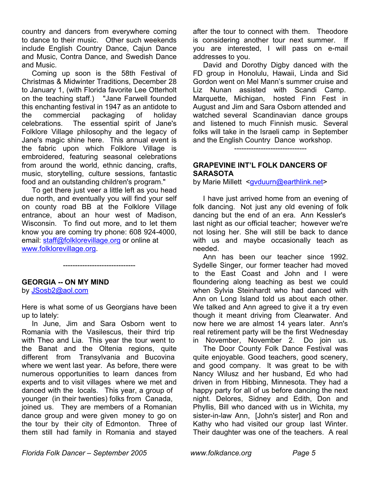country and dancers from everywhere coming to dance to their music. Other such weekends include English Country Dance, Cajun Dance and Music, Contra Dance, and Swedish Dance and Music.

Coming up soon is the 58th Festival of Christmas & Midwinter Traditions, December 28 to January 1, (with Florida favorite Lee Otterholt on the teaching staff.) "Jane Farwell founded this enchanting festival in 1947 as an antidote to the commercial packaging of holiday celebrations. The essential spirit of Jane's Folklore Village philosophy and the legacy of Jane's magic shine here. This annual event is the fabric upon which Folklore Village is embroidered, featuring seasonal celebrations from around the world, ethnic dancing, crafts, music, storytelling, culture sessions, fantastic food and an outstanding children's program."

 To get there just veer a little left as you head due north, and eventually you will find your self on county road BB at the Folklore Village entrance, about an hour west of Madison, Wisconsin. To find out more, and to let them know you are coming try phone: 608 924-4000, email: [staff@folklorevillage.org](mailto:staff@folklorevillage.org) or online at www.folklorevillage.org.

## **GEORGIA -- ON MY MIND**

by JSosb2@aol.com

Here is what some of us Georgians have been up to lately:

------------------------------

In June, Jim and Sara Osborn went to Romania with the Vasilescus, their third trip with Theo and Lia. This year the tour went to the Banat and the Oltenia regions, quite different from Transylvania and Bucovina where we went last year. As before, there were numerous opportunities to learn dances from experts and to visit villages where we met and danced with the locals. This year, a group of younger (in their twenties) folks from Canada, joined us. They are members of a Romanian dance group and were given money to go on the tour by their city of Edmonton. Three of them still had family in Romania and stayed

after the tour to connect with them. Theodore is considering another tour next summer. If you are interested, I will pass on e-mail addresses to you.

David and Dorothy Digby danced with the FD group in Honolulu, Hawaii, Linda and Sid Gordon went on Mel Mann's summer cruise and Liz Nunan assisted with Scandi Camp. Marquette, Michigan, hosted Finn Fest in August and Jim and Sara Osborn attended and watched several Scandinavian dance groups and listened to much Finnish music. Several folks will take in the Israeli camp in September and the English Country Dance workshop. ------------------------------

## **GRAPEVINE INT'L FOLK DANCERS OF SARASOTA**

by Marie Millett <gvduurn@earthlink.net>

I have just arrived home from an evening of folk dancing. Not just any old evening of folk dancing but the end of an era. Ann Kessler's last night as our official teacher; however we're not losing her. She will still be back to dance with us and maybe occasionally teach as needed.

Ann has been our teacher since 1992. Sydelle Singer, our former teacher had moved to the East Coast and John and I were floundering along teaching as best we could when Sylvia Steinhardt who had danced with Ann on Long Island told us about each other. We talked and Ann agreed to give it a try even though it meant driving from Clearwater. And now here we are almost 14 years later. Ann's real retirement party will be the first Wednesday in November, November 2. Do join us.

 The Door County Folk Dance Festival was quite enjoyable. Good teachers, good scenery, and good company. It was great to be with Nancy Wilusz and her husband, Ed who had driven in from Hibbing, Minnesota. They had a happy party for all of us before dancing the next night. Delores, Sidney and Edith, Don and Phyllis, Bill who danced with us in Wichita, my sister-in-law Ann, [John's sister] and Ron and Kathy who had visited our group last Winter. Their daughter was one of the teachers. A real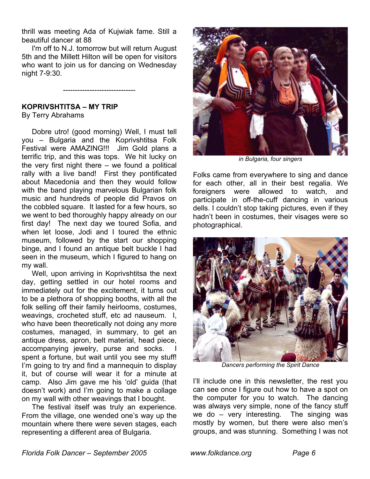thrill was meeting Ada of Kujwiak fame. Still a beautiful dancer at 88

 I'm off to N.J. tomorrow but will return August 5th and the Millett Hilton will be open for visitors who want to join us for dancing on Wednesday night 7-9:30.

------------------------------

#### **KOPRIVSHTITSA – MY TRIP**  By Terry Abrahams

Dobre utro! (good morning) Well, I must tell you – Bulgaria and the Koprivshtitsa Folk Festival were AMAZING!!! Jim Gold plans a terrific trip, and this was tops. We hit lucky on the very first night there  $-$  we found a political rally with a live band! First they pontificated about Macedonia and then they would follow with the band playing marvelous Bulgarian folk music and hundreds of people did Pravos on the cobbled square. It lasted for a few hours, so we went to bed thoroughly happy already on our first day! The next day we toured Sofia, and when let loose, Jodi and I toured the ethnic museum, followed by the start our shopping binge, and I found an antique belt buckle I had seen in the museum, which I figured to hang on my wall.

 Well, upon arriving in Koprivshtitsa the next day, getting settled in our hotel rooms and immediately out for the excitement, it turns out to be a plethora of shopping booths, with all the folk selling off their family heirlooms, costumes, weavings, crocheted stuff, etc ad nauseum. I, who have been theoretically not doing any more costumes, managed, in summary, to get an antique dress, apron, belt material, head piece, accompanying jewelry, purse and socks. spent a fortune, but wait until you see my stuff! I'm going to try and find a mannequin to display it, but of course will wear it for a minute at camp. Also Jim gave me his 'old' guida (that doesn't work) and I'm going to make a collage on my wall with other weavings that I bought.

The festival itself was truly an experience. From the village, one wended one's way up the mountain where there were seven stages, each representing a different area of Bulgaria.



*in Bulgaria, four singers* 

Folks came from everywhere to sing and dance for each other, all in their best regalia. We foreigners were allowed to watch, and participate in off-the-cuff dancing in various dells. I couldn't stop taking pictures, even if they hadn't been in costumes, their visages were so photographical.



*Dancers performing the Spirit Dance* 

I'll include one in this newsletter, the rest you can see once I figure out how to have a spot on the computer for you to watch. The dancing was always very simple, none of the fancy stuff we do – very interesting. The singing was mostly by women, but there were also men's groups, and was stunning. Something I was not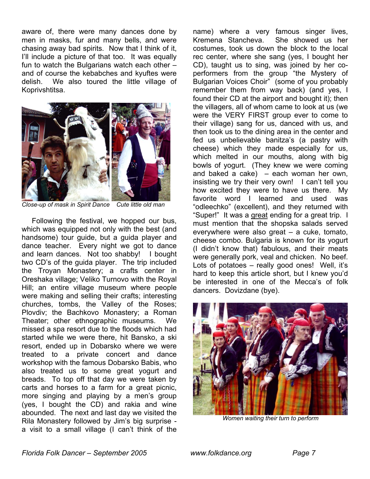aware of, there were many dances done by men in masks, fur and many bells, and were chasing away bad spirits. Now that I think of it, I'll include a picture of that too. It was equally fun to watch the Bulgarians watch each other – and of course the kebabches and kyuftes were delish. We also toured the little village of Koprivshtitsa.



*Close-up of mask in Spirit Dance Cute little old man* 

 Following the festival, we hopped our bus, which was equipped not only with the best (and handsome) tour guide, but a guida player and dance teacher. Every night we got to dance and learn dances. Not too shabby! I bought two CD's of the guida player. The trip included the Troyan Monastery; a crafts center in Oreshaka village; Veliko Turnovo with the Royal Hill; an entire village museum where people were making and selling their crafts; interesting churches, tombs, the Valley of the Roses; Plovdiv; the Bachkovo Monastery; a Roman Theater; other ethnographic museums. We missed a spa resort due to the floods which had started while we were there, hit Bansko, a ski resort, ended up in Dobarsko where we were treated to a private concert and dance workshop with the famous Dobarsko Babis, who also treated us to some great yogurt and breads. To top off that day we were taken by carts and horses to a farm for a great picnic, more singing and playing by a men's group (yes, I bought the CD) and rakia and wine abounded. The next and last day we visited the Rila Monastery followed by Jim's big surprise a visit to a small village (I can't think of the

name) where a very famous singer lives, Kremena Stancheva. She showed us her costumes, took us down the block to the local rec center, where she sang (yes, I bought her CD), taught us to sing, was joined by her coperformers from the group "the Mystery of Bulgarian Voices Choir" (some of you probably remember them from way back) (and yes, I found their CD at the airport and bought it); then the villagers, all of whom came to look at us (we were the VERY FIRST group ever to come to their village) sang for us, danced with us, and then took us to the dining area in the center and fed us unbelievable banitza's (a pastry with cheese) which they made especially for us, which melted in our mouths, along with big bowls of yogurt. (They knew we were coming and baked a cake) – each woman her own, insisting we try their very own! I can't tell you how excited they were to have us there. My favorite word I learned and used was "odleechko" (excellent), and they returned with "Super!" It was a great ending for a great trip. I must mention that the shopska salads served everywhere were also great – a cuke, tomato, cheese combo. Bulgaria is known for its yogurt (I didn't know that) fabulous, and their meats were generally pork, veal and chicken. No beef. Lots of potatoes – really good ones! Well, it's hard to keep this article short, but I knew you'd be interested in one of the Mecca's of folk dancers. Dovizdane (bye).



*Women waiting their turn to perform*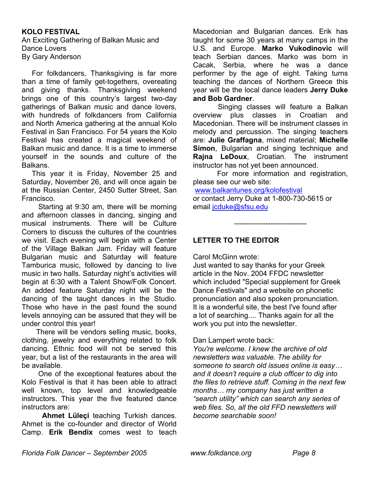## **KOLO FESTIVAL**

An Exciting Gathering of Balkan Music and Dance Lovers By Gary Anderson

For folkdancers, Thanksgiving is far more than a time of family get-togethers, overeating and giving thanks. Thanksgiving weekend brings one of this country's largest two-day gatherings of Balkan music and dance lovers, with hundreds of folkdancers from California and North America gathering at the annual Kolo Festival in San Francisco. For 54 years the Kolo Festival has created a magical weekend of Balkan music and dance. It is a time to immerse yourself in the sounds and culture of the Balkans.

This year it is Friday, November 25 and Saturday, November 26, and will once again be at the Russian Center, 2450 Sutter Street, San Francisco.

 Starting at 9:30 am, there will be morning and afternoon classes in dancing, singing and musical instruments. There will be Culture Corners to discuss the cultures of the countries we visit. Each evening will begin with a Center of the Village Balkan Jam. Friday will feature Bulgarian music and Saturday will feature Tamburica music, followed by dancing to live music in two halls. Saturday night's activities will begin at 6:30 with a Talent Show/Folk Concert. An added feature Saturday night will be the dancing of the taught dances in the Studio. Those who have in the past found the sound levels annoying can be assured that they will be under control this year!

 There will be vendors selling music, books, clothing, jewelry and everything related to folk dancing. Ethnic food will not be served this year, but a list of the restaurants in the area will be available.

 One of the exceptional features about the Kolo Festival is that it has been able to attract well known, top level and knowledgeable instructors. This year the five featured dance instructors are:

 **Ahmet Lüleçi** teaching Turkish dances. Ahmet is the co-founder and director of World Camp. **Erik Bendix** comes west to teach

Macedonian and Bulgarian dances. Erik has taught for some 30 years at many camps in the U.S. and Europe. **Marko Vukodinovic** will teach Serbian dances. Marko was born in Cacak, Serbia, where he was a dance performer by the age of eight. Taking turns teaching the dances of Northern Greece this year will be the local dance leaders **Jerry Duke and Bob Gardner**.

 Singing classes will feature a Balkan overview plus classes in Croatian and Macedonian. There will be instrument classes in melody and percussion. The singing teachers are: **Julie Graffagna**, mixed material; **Michelle Simon**, Bulgarian and singing technique and **Rajna LeDoux**, Croatian. The instrument instructor has not yet been announced.

 For more information and registration, please see our web site:

------------------------------

[www.balkantunes.org/kolofestival](http://www.balkantunes.org/kolofestival)

or contact Jerry Duke at 1-800-730-5615 or email [jcduke@sfsu.edu](mailto:jcduke@sfsu.edu)

# **LETTER TO THE EDITOR**

Carol McGinn wrote:

Just wanted to say thanks for your Greek article in the Nov. 2004 FFDC newsletter which included "Special supplement for Greek Dance Festivals" and a website on phonetic pronunciation and also spoken pronunciation. It is a wonderful site, the best I've found after a lot of searching.... Thanks again for all the work you put into the newsletter.

Dan Lampert wrote back:

*You're welcome. I knew the archive of old newsletters was valuable. The ability for someone to search old issues online is easy… and it doesn't require a club officer to dig into the files to retrieve stuff. Coming in the next few months… my company has just written a "search utility" which can search any series of web files. So, all the old FFD newsletters will become searchable soon!*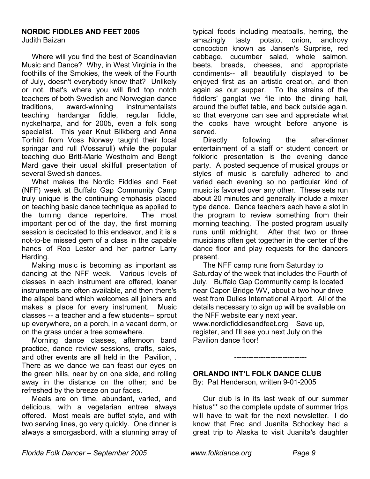# **NORDIC FIDDLES AND FEET 2005**

Judith Baizan

Where will you find the best of Scandinavian Music and Dance? Why, in West Virginia in the foothills of the Smokies, the week of the Fourth of July, doesn't everybody know that? Unlikely or not, that's where you will find top notch teachers of both Swedish and Norwegian dance traditions, award-winning instrumentalists teaching hardangar fiddle, regular fiddle, nyckelharpa, and for 2005, even a folk song specialist. This year Knut Blikberg and Anna Torhild from Voss Norway taught their local springar and rull (Vossarull) while the popular teaching duo Britt-Marie Westholm and Bengt Mard gave their usual skillfull presentation of several Swedish dances.

What makes the Nordic Fiddles and Feet (NFF) week at Buffalo Gap Community Camp truly unique is the continuing emphasis placed on teaching basic dance technique as applied to the turning dance repertoire. The most important period of the day, the first morning session is dedicated to this endeavor, and it is a not-to-be missed gem of a class in the capable hands of Roo Lester and her partner Larry Harding.

Making music is becoming as important as dancing at the NFF week. Various levels of classes in each instrument are offered, loaner instruments are often available, and then there's the allspel band which welcomes all joiners and makes a place for every instrument. Music classes -- a teacher and a few students-- sprout up everywhere, on a porch, in a vacant dorm, or on the grass under a tree somewhere.

Morning dance classes, afternoon band practice, dance review sessions, crafts, sales, and other events are all held in the Pavilion, . There as we dance we can feast our eyes on the green hills, near by on one side, and rolling away in the distance on the other; and be refreshed by the breeze on our faces.

Meals are on time, abundant, varied, and delicious, with a vegetarian entree always offered. Most meals are buffet style, and with two serving lines, go very quickly. One dinner is always a smorgasbord, with a stunning array of

typical foods including meatballs, herring, the amazingly tasty potato, onion, anchovy concoction known as Jansen's Surprise, red cabbage, cucumber salad, whole salmon, beets. breads, cheeses, and appropriate condiments-- all beautifully displayed to be enjoyed first as an artistic creation, and then again as our supper. To the strains of the fiddlers' ganglat we file into the dining hall, around the buffet table, and back outside again, so that everyone can see and appreciate what the cooks have wrought before anyone is served.

 Directly following the after-dinner entertainment of a staff or student concert or folkloric presentation is the evening dance party. A posted sequence of musical groups or styles of music is carefully adhered to and varied each evening so no particular kind of music is favored over any other. These sets run about 20 minutes and generally include a mixer type dance. Dance teachers each have a slot in the program to review something from their morning teaching. The posted program usually runs until midnight. After that two or three musicians often get together in the center of the dance floor and play requests for the dancers present.

 The NFF camp runs from Saturday to Saturday of the week that includes the Fourth of July. Buffalo Gap Community camp is located near Capon Bridge WV, about a two hour drive west from Dulles International Airport. All of the details necessary to sign up will be available on the NFF website early next year. www.nordicfiddlesandfeet.org Save up,

register, and I'll see you next July on the Pavilion dance floor!

# **ORLANDO INT'L FOLK DANCE CLUB**

By: Pat Henderson, written 9-01-2005

 Our club is in its last week of our summer hiatus\*\* so the complete update of summer trips will have to wait for the next newsletter. I do know that Fred and Juanita Schockey had a great trip to Alaska to visit Juanita's daughter

------------------------------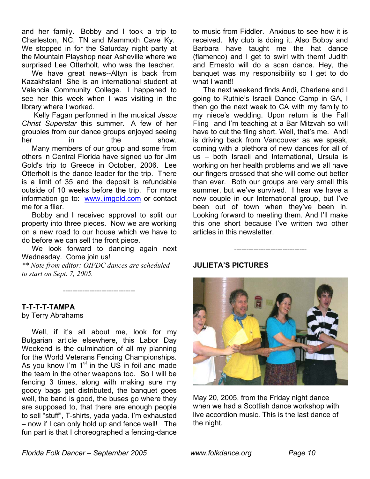and her family. Bobby and I took a trip to Charleston, NC, TN and Mammoth Cave Ky. We stopped in for the Saturday night party at the Mountain Playshop near Asheville where we surprised Lee Otterholt, who was the teacher.

We have great news--Altyn is back from Kazakhstan! She is an international student at Valencia Community College. I happened to see her this week when I was visiting in the library where I worked.

Kelly Fagan performed in the musical *Jesus Christ Superstar* this summer. A few of her groupies from our dance groups enjoyed seeing her in the show. Many members of our group and some from others in Central Florida have signed up for Jim Gold's trip to Greece in October, 2006. Lee Otterholt is the dance leader for the trip. There is a limit of 35 and the deposit is refundable outside of 10 weeks before the trip. For more information go to: [www.jimgold.com](http://www.jimgold.com/) or contact me for a flier.

Bobby and I received approval to split our property into three pieces. Now we are working on a new road to our house which we have to do before we can sell the front piece.

We look forward to dancing again next Wednesday. Come join us!

*\*\* Note from editor: OIFDC dances are scheduled to start on Sept. 7, 2005.*

------------------------------

**T-T-T-T-TAMPA** 

by Terry Abrahams

Well, if it's all about me, look for my Bulgarian article elsewhere, this Labor Day Weekend is the culmination of all my planning for the World Veterans Fencing Championships. As you know I'm 1<sup>st</sup> in the US in foil and made the team in the other weapons too. So I will be fencing 3 times, along with making sure my goody bags get distributed, the banquet goes well, the band is good, the buses go where they are supposed to, that there are enough people to sell "stuff", T-shirts, yada yada. I'm exhausted – now if I can only hold up and fence well! The fun part is that I choreographed a fencing-dance to music from Fiddler. Anxious to see how it is received. My club is doing it. Also Bobby and Barbara have taught me the hat dance (flamenco) and I get to swirl with them! Judith and Ernesto will do a scan dance. Hey, the banquet was my responsibility so I get to do what I want!!

 The next weekend finds Andi, Charlene and I going to Ruthie's Israeli Dance Camp in GA, I then go the next week to CA with my family to my niece's wedding. Upon return is the Fall Fling and I'm teaching at a Bar Mitzvah so will have to cut the fling short. Well, that's me. Andi is driving back from Vancouver as we speak, coming with a plethora of new dances for all of us – both Israeli and International, Ursula is working on her health problems and we all have our fingers crossed that she will come out better than ever. Both our groups are very small this summer, but we've survived. I hear we have a new couple in our International group, but I've been out of town when they've been in. Looking forward to meeting them. And I'll make this one short because I've written two other articles in this newsletter.

#### **JULIETA'S PICTURES**



------------------------------

May 20, 2005, from the Friday night dance when we had a Scottish dance workshop with live accordion music. This is the last dance of the night.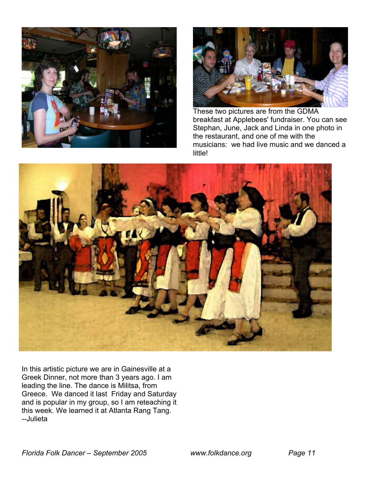



These two pictures are from the GDMA breakfast at Applebees' fundraiser. You can see Stephan, June, Jack and Linda in one photo in the restaurant, and one of me with the musicians: we had live music and we danced a little!



In this artistic picture we are in Gainesville at a Greek Dinner, not more than 3 years ago. I am leading the line. The dance is Militsa, from Greece. We danced it last Friday and Saturday and is popular in my group, so I am reteaching it this week. We learned it at Atlanta Rang Tang. --Julieta